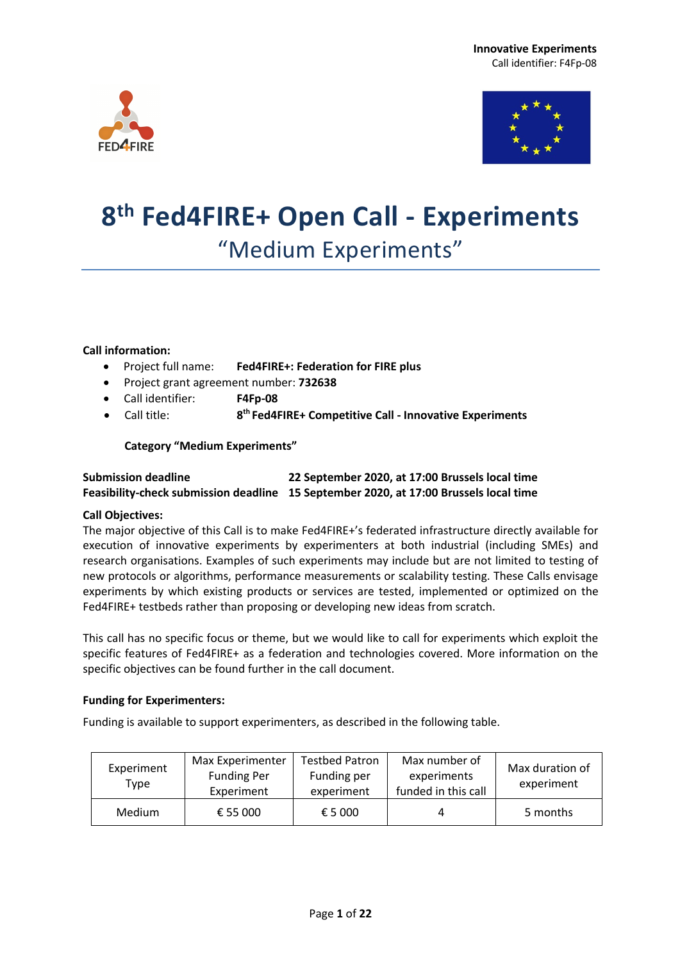



# **8th Fed4FIRE+ Open Call - Experiments** "Medium Experiments"

#### **Call information:**

- Project full name: **Fed4FIRE+: Federation for FIRE plus**
- Project grant agreement number: **732638**
- Call identifier: **F4Fp-08**
- Call title: **8th Fed4FIRE+ Competitive Call - Innovative Experiments**

#### **Category "Medium Experiments"**

#### **Submission deadline 22 September 2020, at 17:00 Brussels local time Feasibility-check submission deadline 15 September 2020, at 17:00 Brussels local time**

#### **Call Objectives:**

The major objective of this Call is to make Fed4FIRE+'s federated infrastructure directly available for execution of innovative experiments by experimenters at both industrial (including SMEs) and research organisations. Examples of such experiments may include but are not limited to testing of new protocols or algorithms, performance measurements or scalability testing. These Calls envisage experiments by which existing products or services are tested, implemented or optimized on the Fed4FIRE+ testbeds rather than proposing or developing new ideas from scratch.

This call has no specific focus or theme, but we would like to call for experiments which exploit the specific features of Fed4FIRE+ as a federation and technologies covered. More information on the specific objectives can be found further in the call document.

#### **Funding for Experimenters:**

Funding is available to support experimenters, as described in the following table.

| Experiment<br>Type | Max Experimenter<br><b>Funding Per</b><br>Experiment | Testbed Patron<br>Funding per<br>experiment | Max number of<br>experiments<br>funded in this call | Max duration of<br>experiment |
|--------------------|------------------------------------------------------|---------------------------------------------|-----------------------------------------------------|-------------------------------|
| Medium             | € 55 000                                             | € 5 000                                     |                                                     | 5 months                      |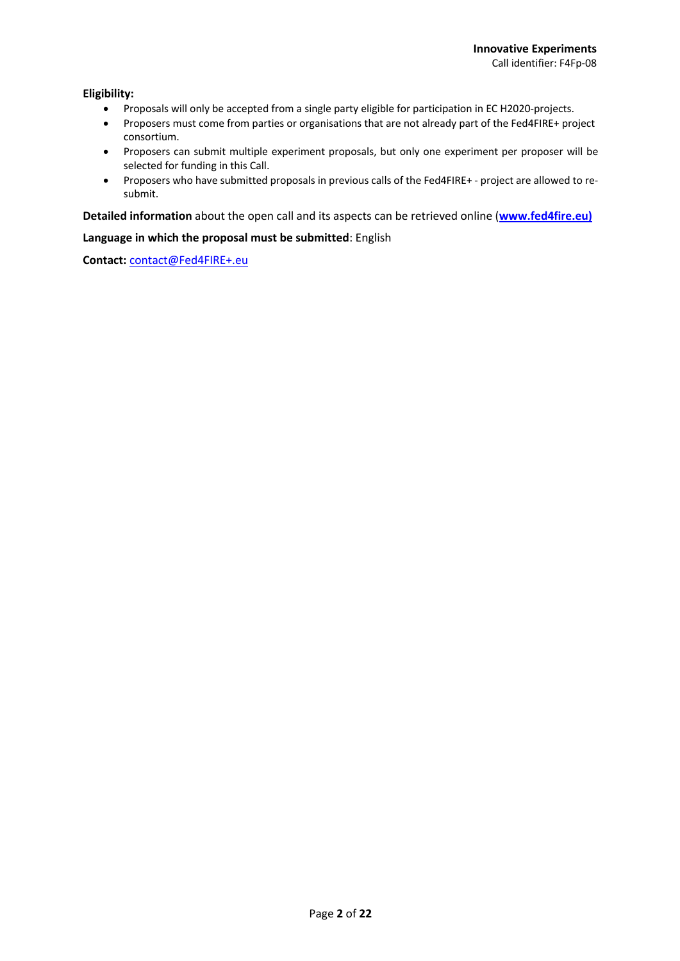#### **Eligibility:**

- Proposals will only be accepted from a single party eligible for participation in EC H2020-projects.
- Proposers must come from parties or organisations that are not already part of the Fed4FIRE+ project consortium.
- Proposers can submit multiple experiment proposals, but only one experiment per proposer will be selected for funding in this Call.
- Proposers who have submitted proposals in previous calls of the Fed4FIRE+ project are allowed to resubmit.

**Detailed information** about the open call and its aspects can be retrieved online (**www.fed4fire.eu)**

#### **Language in which the proposal must be submitted**: English

**Contact:** contact@Fed4FIRE+.eu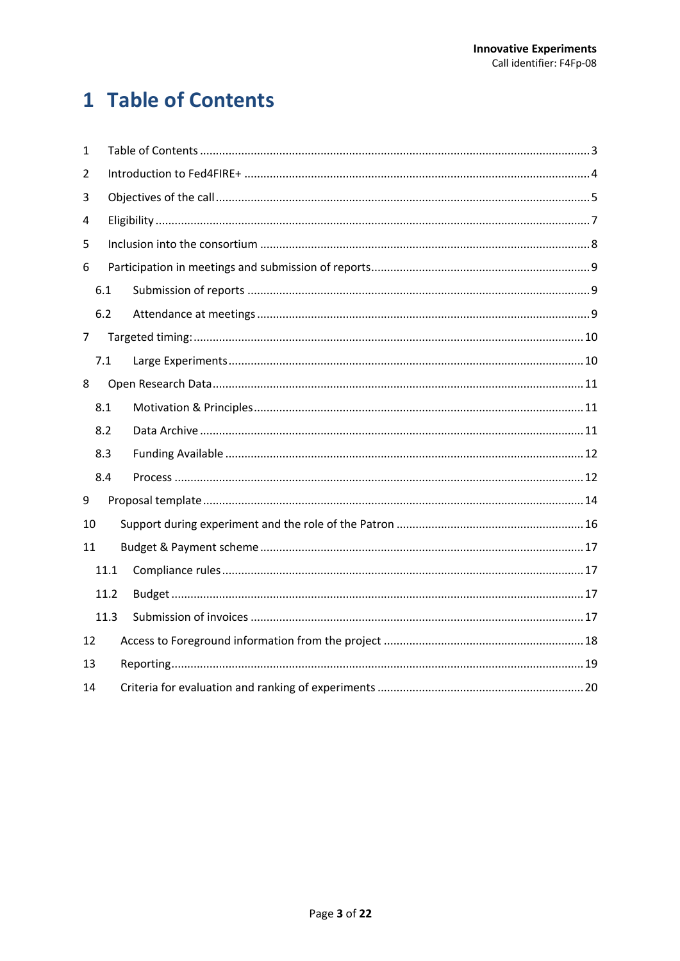## 1 Table of Contents

| 1  |      |  |  |  |  |  |
|----|------|--|--|--|--|--|
| 2  |      |  |  |  |  |  |
| 3  |      |  |  |  |  |  |
| 4  |      |  |  |  |  |  |
| 5  |      |  |  |  |  |  |
| 6  |      |  |  |  |  |  |
|    | 6.1  |  |  |  |  |  |
|    | 6.2  |  |  |  |  |  |
| 7  |      |  |  |  |  |  |
|    | 7.1  |  |  |  |  |  |
| 8  |      |  |  |  |  |  |
|    | 8.1  |  |  |  |  |  |
|    | 8.2  |  |  |  |  |  |
|    | 8.3  |  |  |  |  |  |
|    | 8.4  |  |  |  |  |  |
| 9  |      |  |  |  |  |  |
| 10 |      |  |  |  |  |  |
| 11 |      |  |  |  |  |  |
|    | 11.1 |  |  |  |  |  |
|    | 11.2 |  |  |  |  |  |
|    | 11.3 |  |  |  |  |  |
| 12 |      |  |  |  |  |  |
|    | 13   |  |  |  |  |  |
| 14 |      |  |  |  |  |  |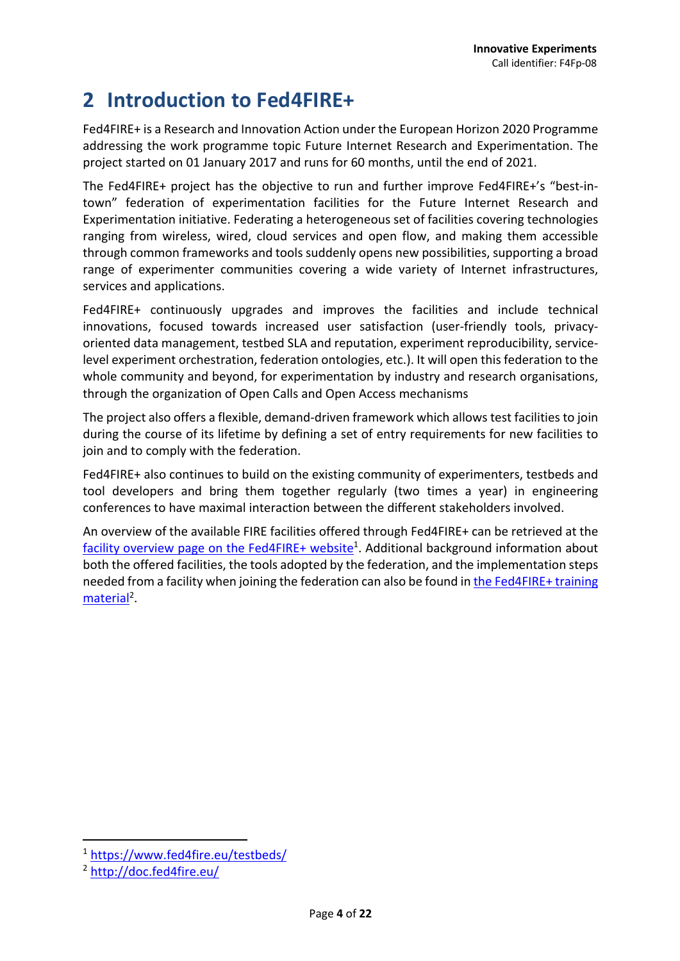### **2 Introduction to Fed4FIRE+**

Fed4FIRE+ is a Research and Innovation Action under the European Horizon 2020 Programme addressing the work programme topic Future Internet Research and Experimentation. The project started on 01 January 2017 and runs for 60 months, until the end of 2021.

The Fed4FIRE+ project has the objective to run and further improve Fed4FIRE+'s "best-intown" federation of experimentation facilities for the Future Internet Research and Experimentation initiative. Federating a heterogeneous set of facilities covering technologies ranging from wireless, wired, cloud services and open flow, and making them accessible through common frameworks and tools suddenly opens new possibilities, supporting a broad range of experimenter communities covering a wide variety of Internet infrastructures, services and applications.

Fed4FIRE+ continuously upgrades and improves the facilities and include technical innovations, focused towards increased user satisfaction (user-friendly tools, privacyoriented data management, testbed SLA and reputation, experiment reproducibility, servicelevel experiment orchestration, federation ontologies, etc.). It will open this federation to the whole community and beyond, for experimentation by industry and research organisations, through the organization of Open Calls and Open Access mechanisms

The project also offers a flexible, demand-driven framework which allows test facilities to join during the course of its lifetime by defining a set of entry requirements for new facilities to join and to comply with the federation.

Fed4FIRE+ also continues to build on the existing community of experimenters, testbeds and tool developers and bring them together regularly (two times a year) in engineering conferences to have maximal interaction between the different stakeholders involved.

An overview of the available FIRE facilities offered through Fed4FIRE+ can be retrieved at the facility overview page on the Fed4FIRE+ website<sup>1</sup>. Additional background information about both the offered facilities, the tools adopted by the federation, and the implementation steps needed from a facility when joining the federation can also be found in the Fed4FIRE+ training material<sup>2</sup>.

<sup>1</sup> https://www.fed4fire.eu/testbeds/

<sup>2</sup> http://doc.fed4fire.eu/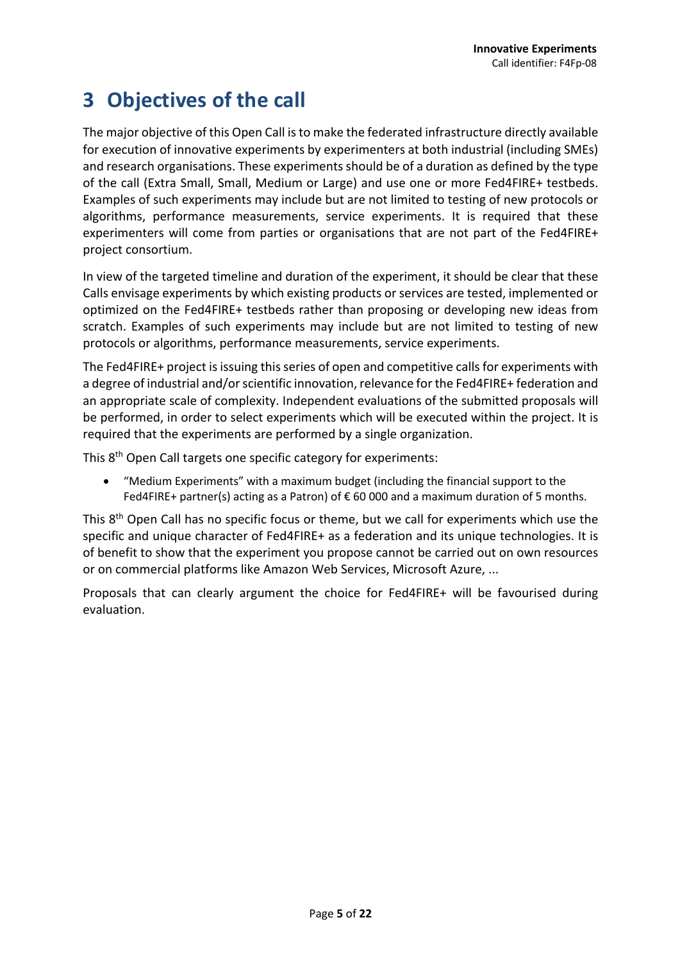### **3 Objectives of the call**

The major objective of this Open Call is to make the federated infrastructure directly available for execution of innovative experiments by experimenters at both industrial (including SMEs) and research organisations. These experiments should be of a duration as defined by the type of the call (Extra Small, Small, Medium or Large) and use one or more Fed4FIRE+ testbeds. Examples of such experiments may include but are not limited to testing of new protocols or algorithms, performance measurements, service experiments. It is required that these experimenters will come from parties or organisations that are not part of the Fed4FIRE+ project consortium.

In view of the targeted timeline and duration of the experiment, it should be clear that these Calls envisage experiments by which existing products or services are tested, implemented or optimized on the Fed4FIRE+ testbeds rather than proposing or developing new ideas from scratch. Examples of such experiments may include but are not limited to testing of new protocols or algorithms, performance measurements, service experiments.

The Fed4FIRE+ project is issuing this series of open and competitive calls for experiments with a degree of industrial and/or scientific innovation, relevance for the Fed4FIRE+ federation and an appropriate scale of complexity. Independent evaluations of the submitted proposals will be performed, in order to select experiments which will be executed within the project. It is required that the experiments are performed by a single organization.

This 8th Open Call targets one specific category for experiments:

• "Medium Experiments" with a maximum budget (including the financial support to the Fed4FIRE+ partner(s) acting as a Patron) of  $\epsilon$  60 000 and a maximum duration of 5 months.

This 8<sup>th</sup> Open Call has no specific focus or theme, but we call for experiments which use the specific and unique character of Fed4FIRE+ as a federation and its unique technologies. It is of benefit to show that the experiment you propose cannot be carried out on own resources or on commercial platforms like Amazon Web Services, Microsoft Azure, ...

Proposals that can clearly argument the choice for Fed4FIRE+ will be favourised during evaluation.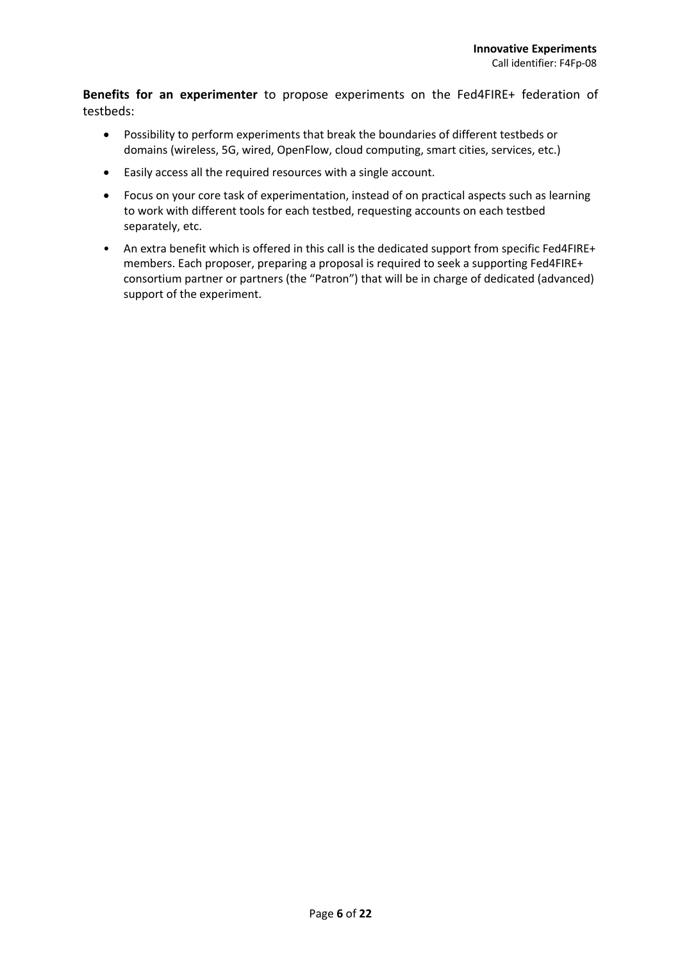**Benefits for an experimenter** to propose experiments on the Fed4FIRE+ federation of testbeds:

- Possibility to perform experiments that break the boundaries of different testbeds or domains (wireless, 5G, wired, OpenFlow, cloud computing, smart cities, services, etc.)
- Easily access all the required resources with a single account.
- Focus on your core task of experimentation, instead of on practical aspects such as learning to work with different tools for each testbed, requesting accounts on each testbed separately, etc.
- An extra benefit which is offered in this call is the dedicated support from specific Fed4FIRE+ members. Each proposer, preparing a proposal is required to seek a supporting Fed4FIRE+ consortium partner or partners (the "Patron") that will be in charge of dedicated (advanced) support of the experiment.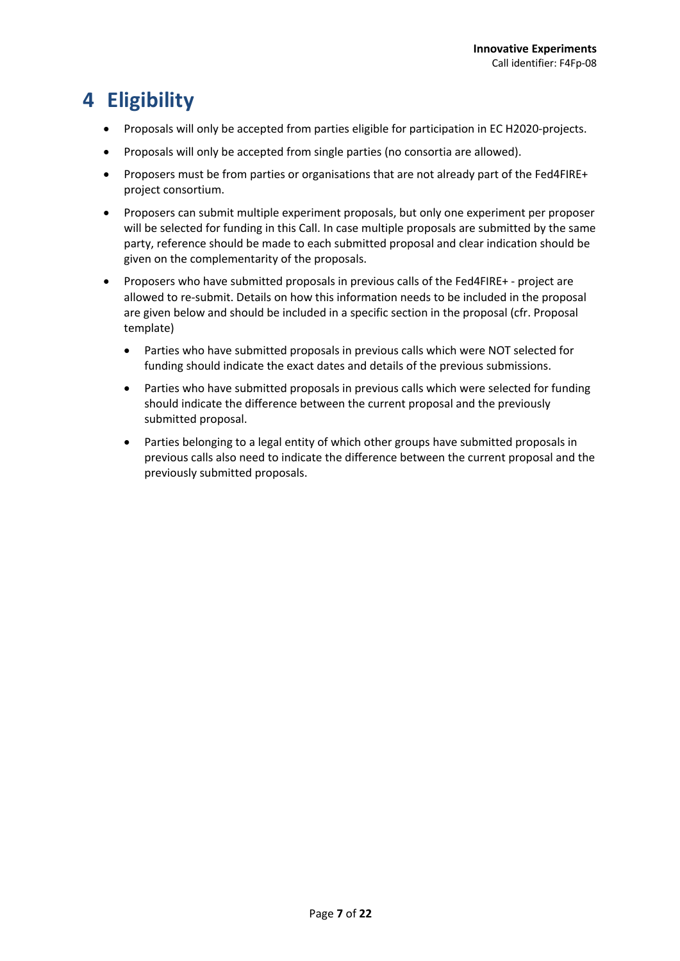### **4 Eligibility**

- Proposals will only be accepted from parties eligible for participation in EC H2020-projects.
- Proposals will only be accepted from single parties (no consortia are allowed).
- Proposers must be from parties or organisations that are not already part of the Fed4FIRE+ project consortium.
- Proposers can submit multiple experiment proposals, but only one experiment per proposer will be selected for funding in this Call. In case multiple proposals are submitted by the same party, reference should be made to each submitted proposal and clear indication should be given on the complementarity of the proposals.
- Proposers who have submitted proposals in previous calls of the Fed4FIRE+ project are allowed to re-submit. Details on how this information needs to be included in the proposal are given below and should be included in a specific section in the proposal (cfr. Proposal template)
	- Parties who have submitted proposals in previous calls which were NOT selected for funding should indicate the exact dates and details of the previous submissions.
	- Parties who have submitted proposals in previous calls which were selected for funding should indicate the difference between the current proposal and the previously submitted proposal.
	- Parties belonging to a legal entity of which other groups have submitted proposals in previous calls also need to indicate the difference between the current proposal and the previously submitted proposals.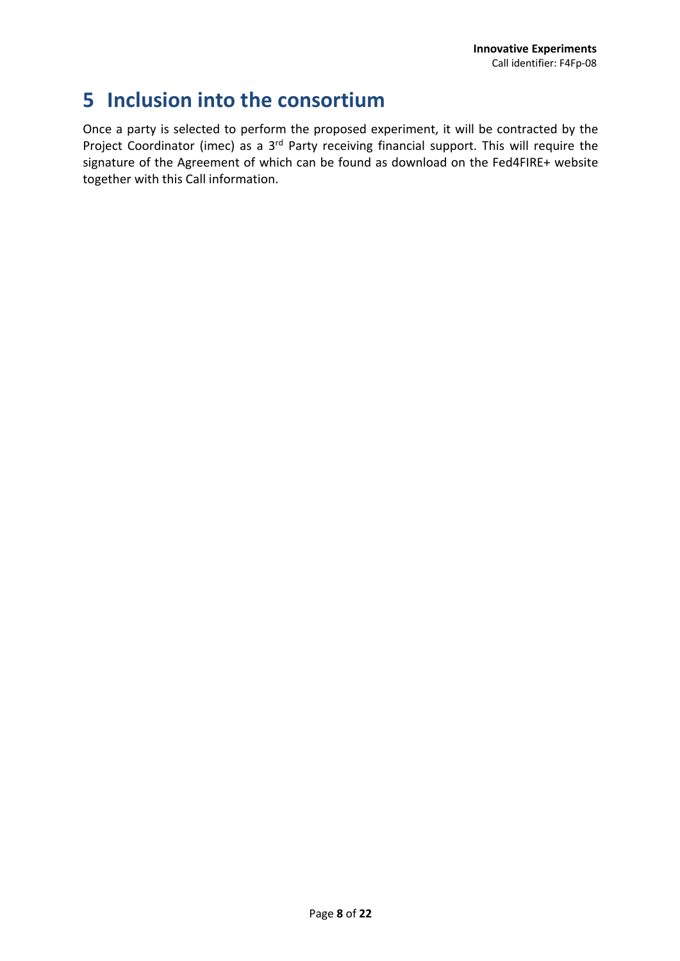### **5 Inclusion into the consortium**

Once a party is selected to perform the proposed experiment, it will be contracted by the Project Coordinator (imec) as a 3<sup>rd</sup> Party receiving financial support. This will require the signature of the Agreement of which can be found as download on the Fed4FIRE+ website together with this Call information.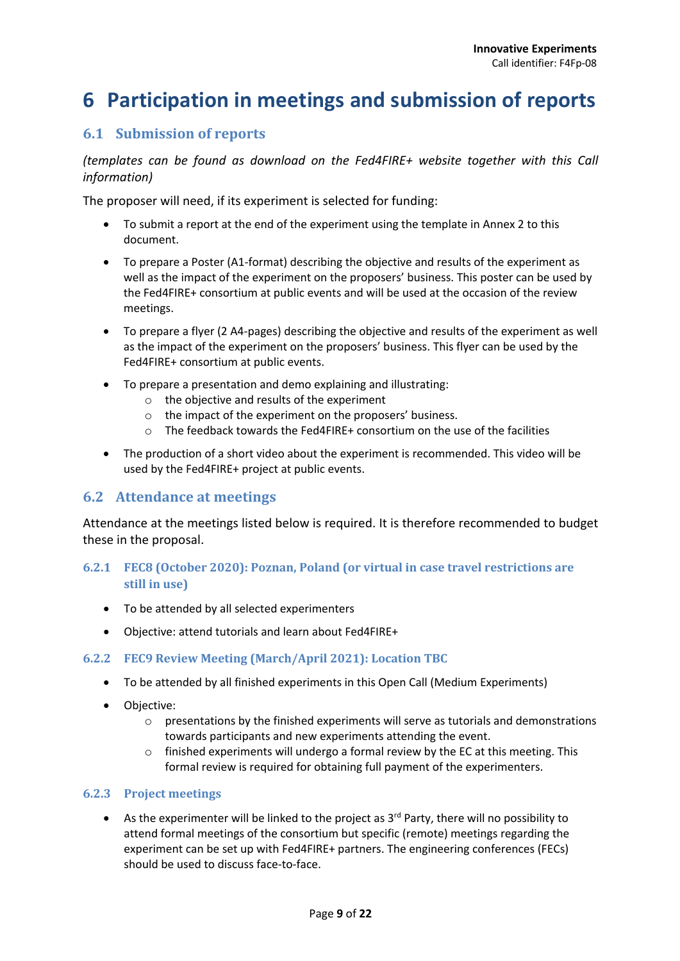### **6 Participation in meetings and submission of reports**

### **6.1 Submission of reports**

*(templates can be found as download on the Fed4FIRE+ website together with this Call information)*

The proposer will need, if its experiment is selected for funding:

- To submit a report at the end of the experiment using the template in Annex 2 to this document.
- To prepare a Poster (A1-format) describing the objective and results of the experiment as well as the impact of the experiment on the proposers' business. This poster can be used by the Fed4FIRE+ consortium at public events and will be used at the occasion of the review meetings.
- To prepare a flyer (2 A4-pages) describing the objective and results of the experiment as well as the impact of the experiment on the proposers' business. This flyer can be used by the Fed4FIRE+ consortium at public events.
- To prepare a presentation and demo explaining and illustrating:
	- o the objective and results of the experiment
	- o the impact of the experiment on the proposers' business.
	- o The feedback towards the Fed4FIRE+ consortium on the use of the facilities
- The production of a short video about the experiment is recommended. This video will be used by the Fed4FIRE+ project at public events.

### **6.2 Attendance at meetings**

Attendance at the meetings listed below is required. It is therefore recommended to budget these in the proposal.

#### **6.2.1 FEC8** (October 2020): Poznan, Poland (or virtual in case travel restrictions are **still in use)**

- To be attended by all selected experimenters
- Objective: attend tutorials and learn about Fed4FIRE+

#### **6.2.2 FEC9 Review Meeting (March/April 2021): Location TBC**

- To be attended by all finished experiments in this Open Call (Medium Experiments)
- Objective:
	- $\circ$  presentations by the finished experiments will serve as tutorials and demonstrations towards participants and new experiments attending the event.
	- $\circ$  finished experiments will undergo a formal review by the EC at this meeting. This formal review is required for obtaining full payment of the experimenters.

#### **6.2.3 Project meetings**

• As the experimenter will be linked to the project as  $3<sup>rd</sup>$  Party, there will no possibility to attend formal meetings of the consortium but specific (remote) meetings regarding the experiment can be set up with Fed4FIRE+ partners. The engineering conferences (FECs) should be used to discuss face-to-face.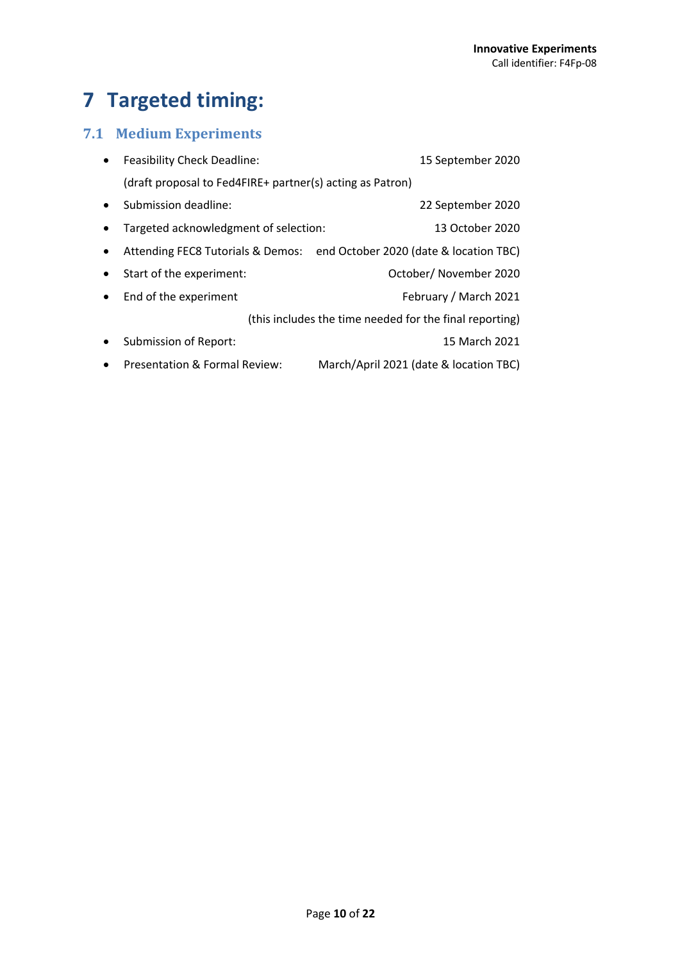### **7 Targeted timing:**

### **7.1 Medium Experiments**

| $\bullet$ | <b>Feasibility Check Deadline:</b>                        | 15 September 2020                                                        |  |  |  |
|-----------|-----------------------------------------------------------|--------------------------------------------------------------------------|--|--|--|
|           | (draft proposal to Fed4FIRE+ partner(s) acting as Patron) |                                                                          |  |  |  |
| $\bullet$ | Submission deadline:                                      | 22 September 2020                                                        |  |  |  |
| $\bullet$ | Targeted acknowledgment of selection:                     | 13 October 2020                                                          |  |  |  |
| $\bullet$ |                                                           | Attending FEC8 Tutorials & Demos: end October 2020 (date & location TBC) |  |  |  |
| $\bullet$ | Start of the experiment:                                  | October/ November 2020                                                   |  |  |  |
| $\bullet$ | End of the experiment                                     | February / March 2021                                                    |  |  |  |
|           |                                                           | (this includes the time needed for the final reporting)                  |  |  |  |
| $\bullet$ | Submission of Report:                                     | 15 March 2021                                                            |  |  |  |
| $\bullet$ | Presentation & Formal Review:                             | March/April 2021 (date & location TBC)                                   |  |  |  |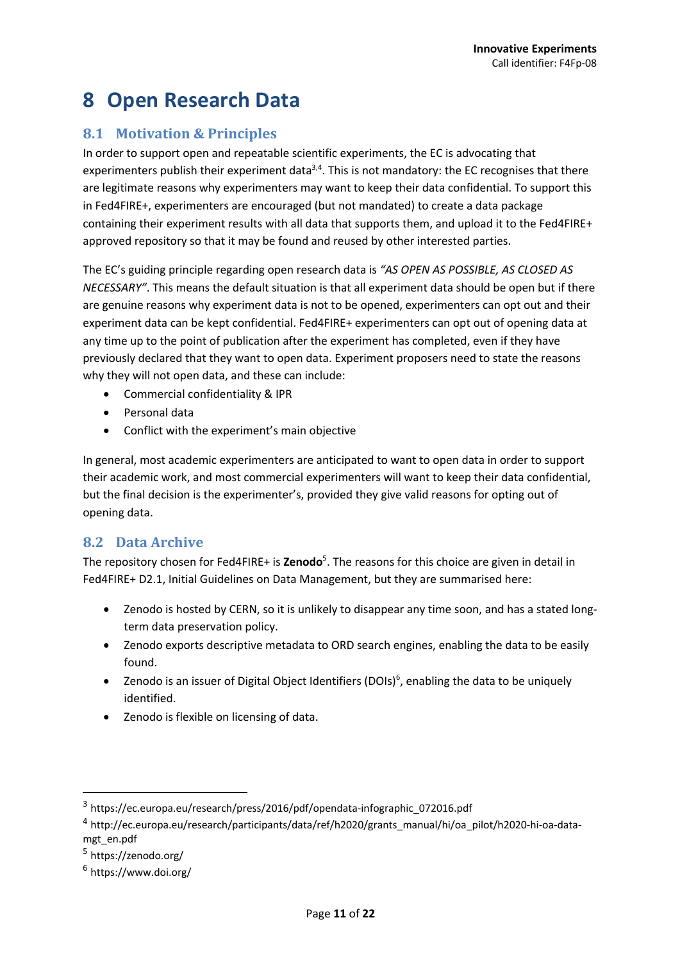### **8 Open Research Data**

### **8.1 Motivation & Principles**

In order to support open and repeatable scientific experiments, the EC is advocating that experimenters publish their experiment data<sup>3,4</sup>. This is not mandatory: the EC recognises that there are legitimate reasons why experimenters may want to keep their data confidential. To support this in Fed4FIRE+, experimenters are encouraged (but not mandated) to create a data package containing their experiment results with all data that supports them, and upload it to the Fed4FIRE+ approved repository so that it may be found and reused by other interested parties.

The EC's guiding principle regarding open research data is *"AS OPEN AS POSSIBLE, AS CLOSED AS NECESSARY"*. This means the default situation is that all experiment data should be open but if there are genuine reasons why experiment data is not to be opened, experimenters can opt out and their experiment data can be kept confidential. Fed4FIRE+ experimenters can opt out of opening data at any time up to the point of publication after the experiment has completed, even if they have previously declared that they want to open data. Experiment proposers need to state the reasons why they will not open data, and these can include:

- Commercial confidentiality & IPR
- Personal data
- Conflict with the experiment's main objective

In general, most academic experimenters are anticipated to want to open data in order to support their academic work, and most commercial experimenters will want to keep their data confidential, but the final decision is the experimenter's, provided they give valid reasons for opting out of opening data.

### **8.2 Data Archive**

The repository chosen for Fed4FIRE+ is **Zenodo**<sup>5</sup>. The reasons for this choice are given in detail in Fed4FIRE+ D2.1, Initial Guidelines on Data Management, but they are summarised here:

- Zenodo is hosted by CERN, so it is unlikely to disappear any time soon, and has a stated longterm data preservation policy.
- Zenodo exports descriptive metadata to ORD search engines, enabling the data to be easily found.
- Zenodo is an issuer of Digital Object Identifiers (DOIs)<sup>6</sup>, enabling the data to be uniquely identified.
- Zenodo is flexible on licensing of data.

<sup>3</sup> https://ec.europa.eu/research/press/2016/pdf/opendata-infographic\_072016.pdf

<sup>4</sup> http://ec.europa.eu/research/participants/data/ref/h2020/grants\_manual/hi/oa\_pilot/h2020-hi-oa-datamgt\_en.pdf

<sup>5</sup> https://zenodo.org/

<sup>6</sup> https://www.doi.org/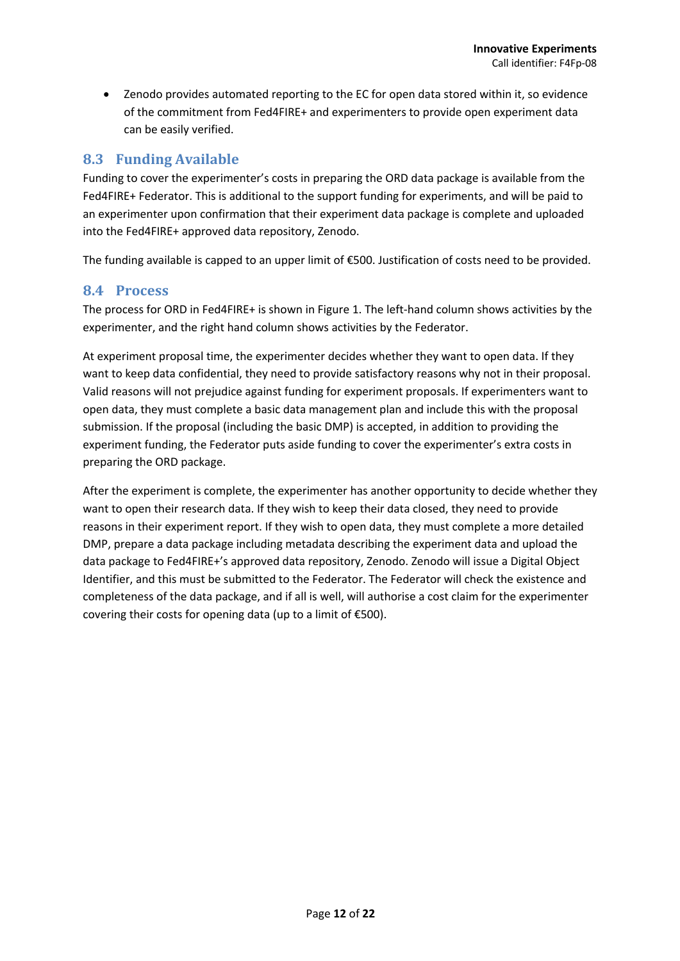• Zenodo provides automated reporting to the EC for open data stored within it, so evidence of the commitment from Fed4FIRE+ and experimenters to provide open experiment data can be easily verified.

### **8.3 Funding Available**

Funding to cover the experimenter's costs in preparing the ORD data package is available from the Fed4FIRE+ Federator. This is additional to the support funding for experiments, and will be paid to an experimenter upon confirmation that their experiment data package is complete and uploaded into the Fed4FIRE+ approved data repository, Zenodo.

The funding available is capped to an upper limit of €500. Justification of costs need to be provided.

#### **8.4 Process**

The process for ORD in Fed4FIRE+ is shown in Figure 1. The left-hand column shows activities by the experimenter, and the right hand column shows activities by the Federator.

At experiment proposal time, the experimenter decides whether they want to open data. If they want to keep data confidential, they need to provide satisfactory reasons why not in their proposal. Valid reasons will not prejudice against funding for experiment proposals. If experimenters want to open data, they must complete a basic data management plan and include this with the proposal submission. If the proposal (including the basic DMP) is accepted, in addition to providing the experiment funding, the Federator puts aside funding to cover the experimenter's extra costs in preparing the ORD package.

After the experiment is complete, the experimenter has another opportunity to decide whether they want to open their research data. If they wish to keep their data closed, they need to provide reasons in their experiment report. If they wish to open data, they must complete a more detailed DMP, prepare a data package including metadata describing the experiment data and upload the data package to Fed4FIRE+'s approved data repository, Zenodo. Zenodo will issue a Digital Object Identifier, and this must be submitted to the Federator. The Federator will check the existence and completeness of the data package, and if all is well, will authorise a cost claim for the experimenter covering their costs for opening data (up to a limit of €500).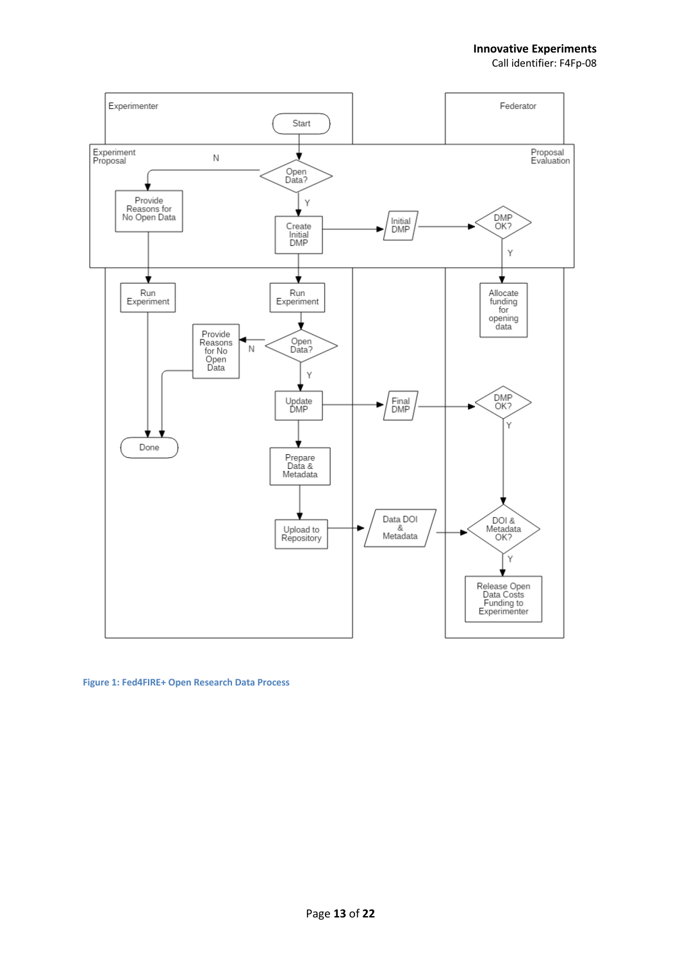

**Figure 1: Fed4FIRE+ Open Research Data Process**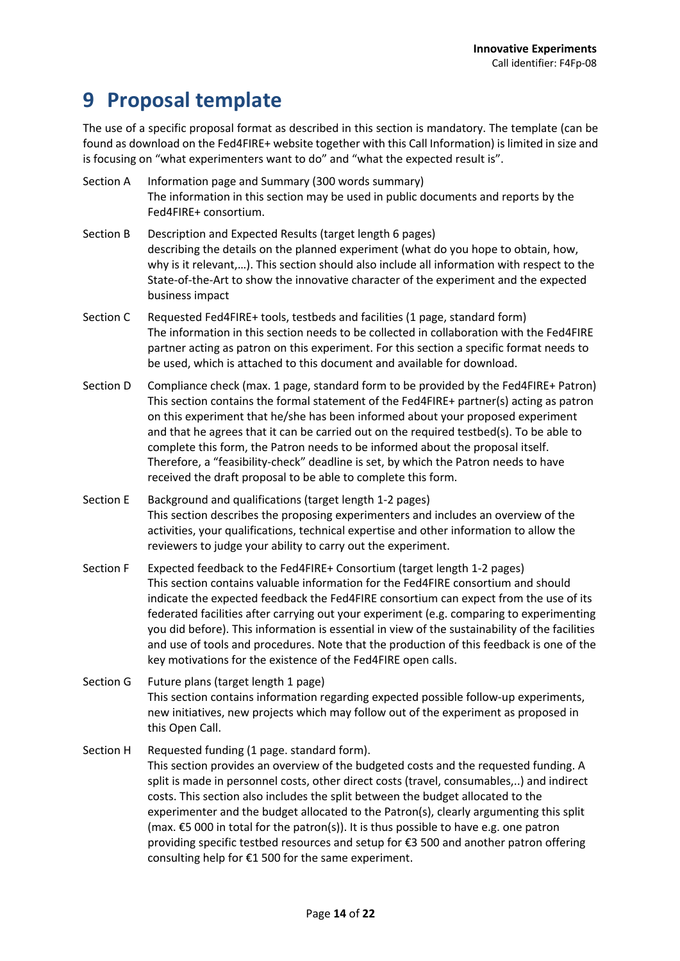### **9 Proposal template**

The use of a specific proposal format as described in this section is mandatory. The template (can be found as download on the Fed4FIRE+ website together with this Call Information) is limited in size and is focusing on "what experimenters want to do" and "what the expected result is".

- Section A Information page and Summary (300 words summary) The information in this section may be used in public documents and reports by the Fed4FIRE+ consortium.
- Section B Description and Expected Results (target length 6 pages) describing the details on the planned experiment (what do you hope to obtain, how, why is it relevant,…). This section should also include all information with respect to the State-of-the-Art to show the innovative character of the experiment and the expected business impact
- Section C Requested Fed4FIRE+ tools, testbeds and facilities (1 page, standard form) The information in this section needs to be collected in collaboration with the Fed4FIRE partner acting as patron on this experiment. For this section a specific format needs to be used, which is attached to this document and available for download.
- Section D Compliance check (max. 1 page, standard form to be provided by the Fed4FIRE+ Patron) This section contains the formal statement of the Fed4FIRE+ partner(s) acting as patron on this experiment that he/she has been informed about your proposed experiment and that he agrees that it can be carried out on the required testbed(s). To be able to complete this form, the Patron needs to be informed about the proposal itself. Therefore, a "feasibility-check" deadline is set, by which the Patron needs to have received the draft proposal to be able to complete this form.
- Section E Background and qualifications (target length 1-2 pages) This section describes the proposing experimenters and includes an overview of the activities, your qualifications, technical expertise and other information to allow the reviewers to judge your ability to carry out the experiment.
- Section F Expected feedback to the Fed4FIRE+ Consortium (target length 1-2 pages) This section contains valuable information for the Fed4FIRE consortium and should indicate the expected feedback the Fed4FIRE consortium can expect from the use of its federated facilities after carrying out your experiment (e.g. comparing to experimenting you did before). This information is essential in view of the sustainability of the facilities and use of tools and procedures. Note that the production of this feedback is one of the key motivations for the existence of the Fed4FIRE open calls.
- Section G Future plans (target length 1 page) This section contains information regarding expected possible follow-up experiments, new initiatives, new projects which may follow out of the experiment as proposed in this Open Call.
- Section H Requested funding (1 page. standard form). This section provides an overview of the budgeted costs and the requested funding. A split is made in personnel costs, other direct costs (travel, consumables,..) and indirect costs. This section also includes the split between the budget allocated to the experimenter and the budget allocated to the Patron(s), clearly argumenting this split (max. €5 000 in total for the patron(s)). It is thus possible to have e.g. one patron providing specific testbed resources and setup for €3 500 and another patron offering consulting help for €1 500 for the same experiment.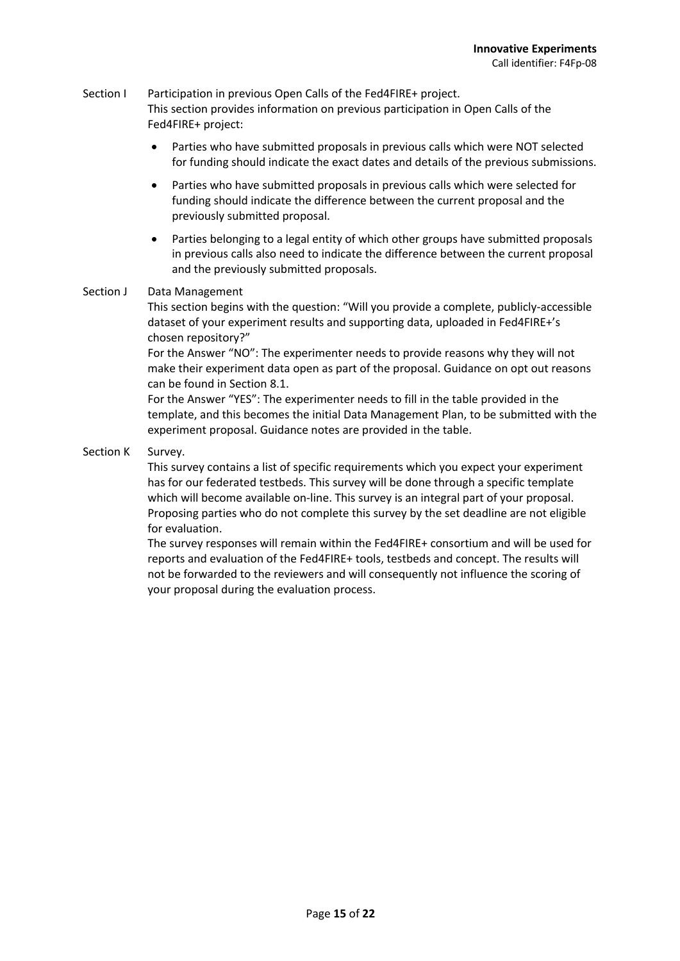### Section I Participation in previous Open Calls of the Fed4FIRE+ project. This section provides information on previous participation in Open Calls of the Fed4FIRE+ project:

- Parties who have submitted proposals in previous calls which were NOT selected for funding should indicate the exact dates and details of the previous submissions.
- Parties who have submitted proposals in previous calls which were selected for funding should indicate the difference between the current proposal and the previously submitted proposal.
- Parties belonging to a legal entity of which other groups have submitted proposals in previous calls also need to indicate the difference between the current proposal and the previously submitted proposals.

#### Section J Data Management

This section begins with the question: "Will you provide a complete, publicly-accessible dataset of your experiment results and supporting data, uploaded in Fed4FIRE+'s chosen repository?"

For the Answer "NO": The experimenter needs to provide reasons why they will not make their experiment data open as part of the proposal. Guidance on opt out reasons can be found in Section 8.1.

For the Answer "YES": The experimenter needs to fill in the table provided in the template, and this becomes the initial Data Management Plan, to be submitted with the experiment proposal. Guidance notes are provided in the table.

Section K Survey.

This survey contains a list of specific requirements which you expect your experiment has for our federated testbeds. This survey will be done through a specific template which will become available on-line. This survey is an integral part of your proposal. Proposing parties who do not complete this survey by the set deadline are not eligible for evaluation.

The survey responses will remain within the Fed4FIRE+ consortium and will be used for reports and evaluation of the Fed4FIRE+ tools, testbeds and concept. The results will not be forwarded to the reviewers and will consequently not influence the scoring of your proposal during the evaluation process.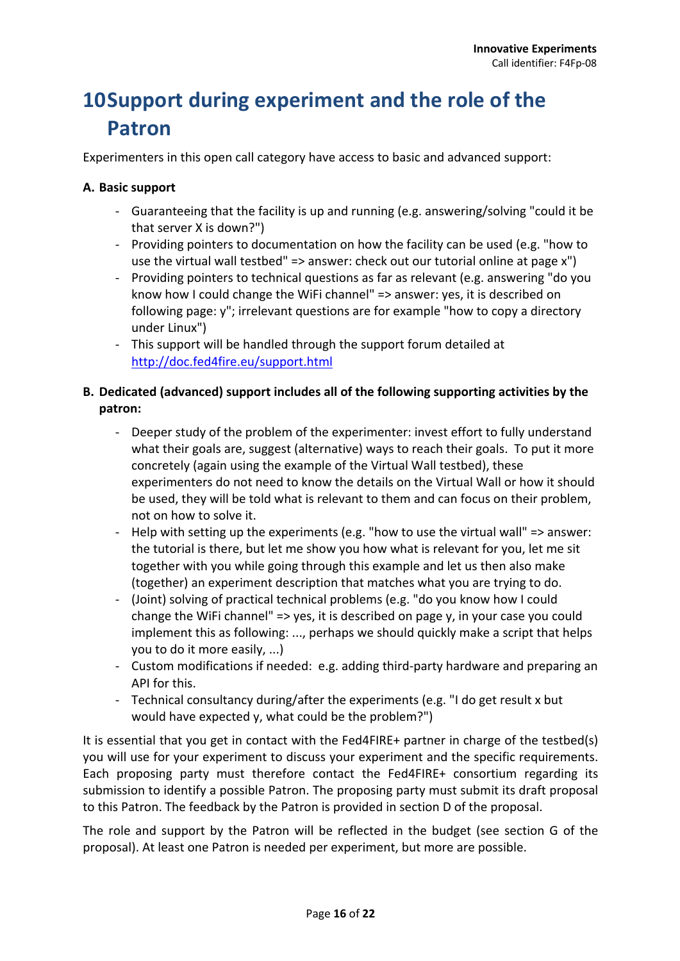### **10Support during experiment and the role of the Patron**

Experimenters in this open call category have access to basic and advanced support:

### **A. Basic support**

- Guaranteeing that the facility is up and running (e.g. answering/solving "could it be that server X is down?")
- Providing pointers to documentation on how the facility can be used (e.g. "how to use the virtual wall testbed" => answer: check out our tutorial online at page x")
- Providing pointers to technical questions as far as relevant (e.g. answering "do you know how I could change the WiFi channel" => answer: yes, it is described on following page: y"; irrelevant questions are for example "how to copy a directory under Linux")
- This support will be handled through the support forum detailed at http://doc.fed4fire.eu/support.html

### **B. Dedicated (advanced) support includes all of the following supporting activities by the patron:**

- Deeper study of the problem of the experimenter: invest effort to fully understand what their goals are, suggest (alternative) ways to reach their goals. To put it more concretely (again using the example of the Virtual Wall testbed), these experimenters do not need to know the details on the Virtual Wall or how it should be used, they will be told what is relevant to them and can focus on their problem, not on how to solve it.
- Help with setting up the experiments (e.g. "how to use the virtual wall" => answer: the tutorial is there, but let me show you how what is relevant for you, let me sit together with you while going through this example and let us then also make (together) an experiment description that matches what you are trying to do.
- (Joint) solving of practical technical problems (e.g. "do you know how I could change the WiFi channel" => yes, it is described on page y, in your case you could implement this as following: ..., perhaps we should quickly make a script that helps you to do it more easily, ...)
- Custom modifications if needed: e.g. adding third-party hardware and preparing an API for this.
- Technical consultancy during/after the experiments (e.g. "I do get result x but would have expected y, what could be the problem?")

It is essential that you get in contact with the Fed4FIRE+ partner in charge of the testbed(s) you will use for your experiment to discuss your experiment and the specific requirements. Each proposing party must therefore contact the Fed4FIRE+ consortium regarding its submission to identify a possible Patron. The proposing party must submit its draft proposal to this Patron. The feedback by the Patron is provided in section D of the proposal.

The role and support by the Patron will be reflected in the budget (see section G of the proposal). At least one Patron is needed per experiment, but more are possible.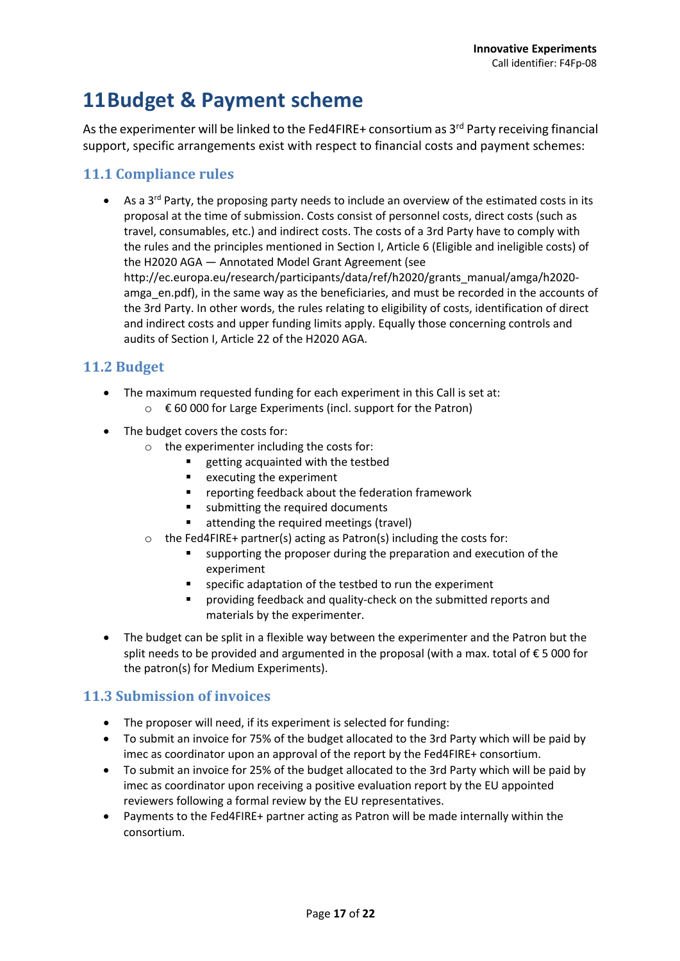### **11Budget & Payment scheme**

As the experimenter will be linked to the Fed4FIRE+ consortium as 3<sup>rd</sup> Party receiving financial support, specific arrangements exist with respect to financial costs and payment schemes:

### **11.1 Compliance rules**

• As a  $3^{rd}$  Party, the proposing party needs to include an overview of the estimated costs in its proposal at the time of submission. Costs consist of personnel costs, direct costs (such as travel, consumables, etc.) and indirect costs. The costs of a 3rd Party have to comply with the rules and the principles mentioned in Section I, Article 6 (Eligible and ineligible costs) of the H2020 AGA — Annotated Model Grant Agreement (see http://ec.europa.eu/research/participants/data/ref/h2020/grants\_manual/amga/h2020 amga en.pdf), in the same way as the beneficiaries, and must be recorded in the accounts of the 3rd Party. In other words, the rules relating to eligibility of costs, identification of direct and indirect costs and upper funding limits apply. Equally those concerning controls and audits of Section I, Article 22 of the H2020 AGA.

### **11.2 Budget**

- The maximum requested funding for each experiment in this Call is set at:
	- o € 60 000 for Large Experiments (incl. support for the Patron)
- The budget covers the costs for:
	- o the experimenter including the costs for:
		- getting acquainted with the testbed
		- executing the experiment
		- reporting feedback about the federation framework
		- submitting the required documents
		- attending the required meetings (travel)
	- o the Fed4FIRE+ partner(s) acting as Patron(s) including the costs for:
		- supporting the proposer during the preparation and execution of the experiment
		- specific adaptation of the testbed to run the experiment
		- § providing feedback and quality-check on the submitted reports and materials by the experimenter.
- The budget can be split in a flexible way between the experimenter and the Patron but the split needs to be provided and argumented in the proposal (with a max. total of € 5 000 for the patron(s) for Medium Experiments).

### **11.3 Submission of invoices**

- The proposer will need, if its experiment is selected for funding:
- To submit an invoice for 75% of the budget allocated to the 3rd Party which will be paid by imec as coordinator upon an approval of the report by the Fed4FIRE+ consortium.
- To submit an invoice for 25% of the budget allocated to the 3rd Party which will be paid by imec as coordinator upon receiving a positive evaluation report by the EU appointed reviewers following a formal review by the EU representatives.
- Payments to the Fed4FIRE+ partner acting as Patron will be made internally within the consortium.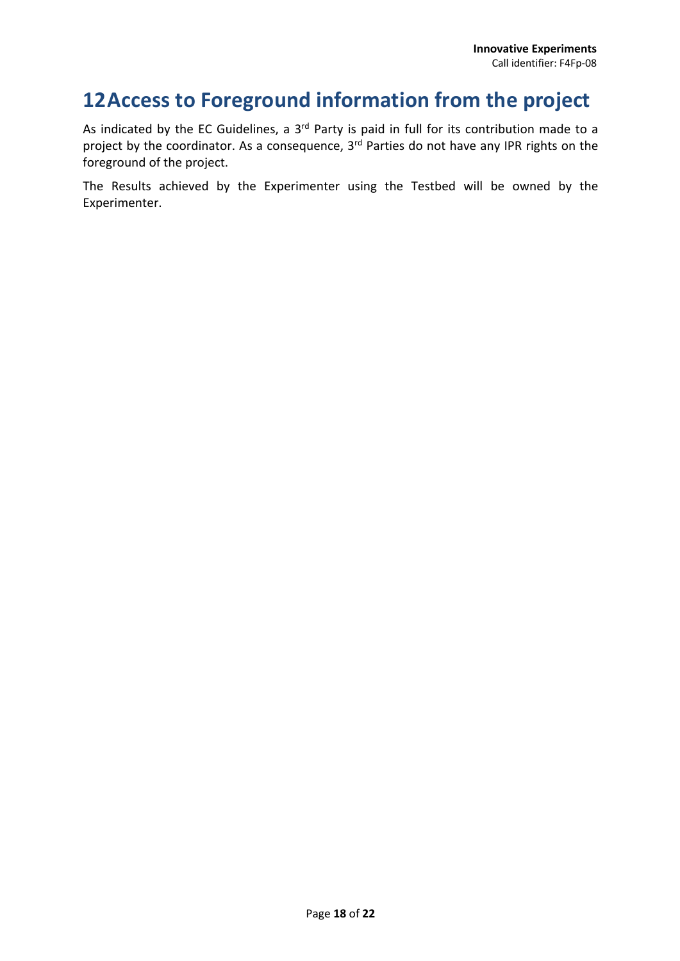### **12Access to Foreground information from the project**

As indicated by the EC Guidelines, a 3<sup>rd</sup> Party is paid in full for its contribution made to a project by the coordinator. As a consequence, 3<sup>rd</sup> Parties do not have any IPR rights on the foreground of the project.

The Results achieved by the Experimenter using the Testbed will be owned by the Experimenter.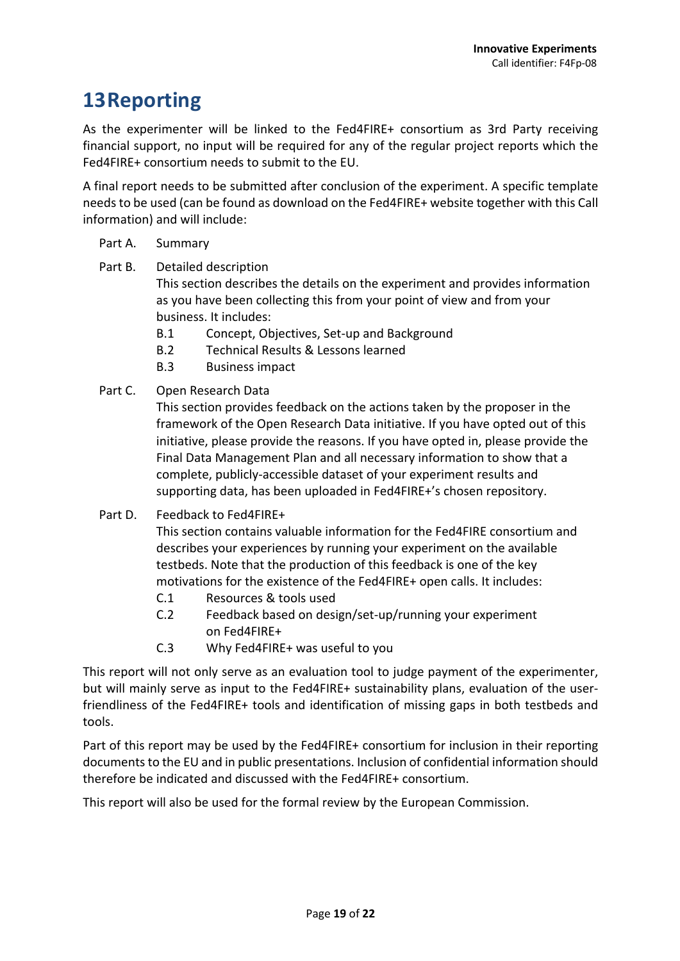### **13Reporting**

As the experimenter will be linked to the Fed4FIRE+ consortium as 3rd Party receiving financial support, no input will be required for any of the regular project reports which the Fed4FIRE+ consortium needs to submit to the EU.

A final report needs to be submitted after conclusion of the experiment. A specific template needs to be used (can be found as download on the Fed4FIRE+ website together with this Call information) and will include:

#### Part A. Summary

Part B. Detailed description

This section describes the details on the experiment and provides information as you have been collecting this from your point of view and from your business. It includes:

- B.1 Concept, Objectives, Set-up and Background
- B.2 Technical Results & Lessons learned
- B.3 Business impact
- Part C. Open Research Data

This section provides feedback on the actions taken by the proposer in the framework of the Open Research Data initiative. If you have opted out of this initiative, please provide the reasons. If you have opted in, please provide the Final Data Management Plan and all necessary information to show that a complete, publicly-accessible dataset of your experiment results and supporting data, has been uploaded in Fed4FIRE+'s chosen repository.

Part D. Feedback to Fed4FIRE+

This section contains valuable information for the Fed4FIRE consortium and describes your experiences by running your experiment on the available testbeds. Note that the production of this feedback is one of the key motivations for the existence of the Fed4FIRE+ open calls. It includes:

- C.1 Resources & tools used
- C.2 Feedback based on design/set-up/running your experiment on Fed4FIRE+
- C.3 Why Fed4FIRE+ was useful to you

This report will not only serve as an evaluation tool to judge payment of the experimenter, but will mainly serve as input to the Fed4FIRE+ sustainability plans, evaluation of the userfriendliness of the Fed4FIRE+ tools and identification of missing gaps in both testbeds and tools.

Part of this report may be used by the Fed4FIRE+ consortium for inclusion in their reporting documents to the EU and in public presentations. Inclusion of confidential information should therefore be indicated and discussed with the Fed4FIRE+ consortium.

This report will also be used for the formal review by the European Commission.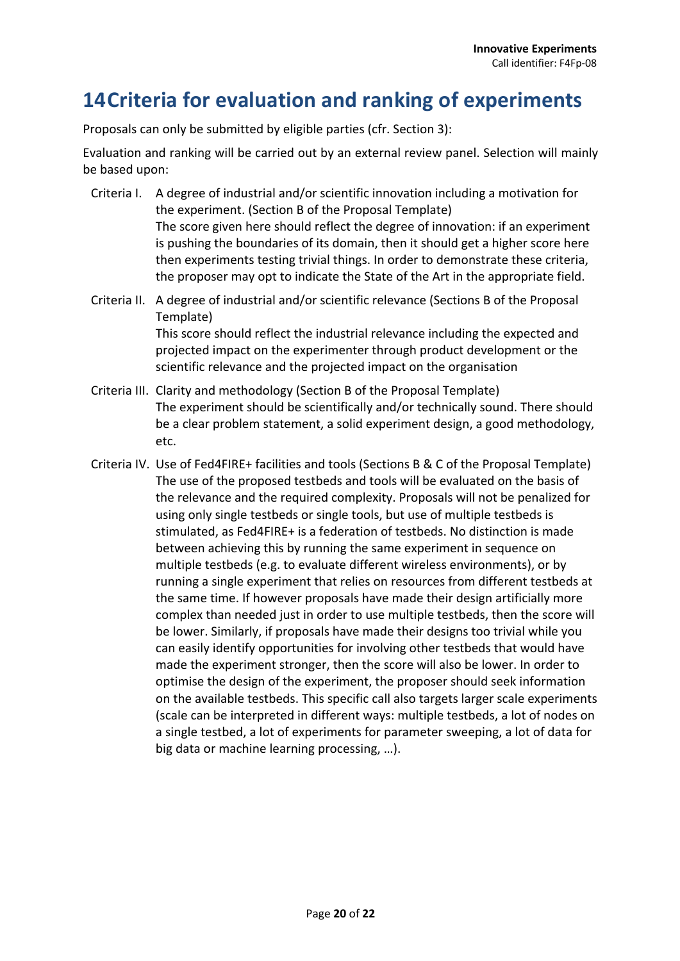### **14Criteria for evaluation and ranking of experiments**

Proposals can only be submitted by eligible parties (cfr. Section 3):

Evaluation and ranking will be carried out by an external review panel. Selection will mainly be based upon:

- Criteria I. A degree of industrial and/or scientific innovation including a motivation for the experiment. (Section B of the Proposal Template) The score given here should reflect the degree of innovation: if an experiment is pushing the boundaries of its domain, then it should get a higher score here then experiments testing trivial things. In order to demonstrate these criteria, the proposer may opt to indicate the State of the Art in the appropriate field.
- Criteria II. A degree of industrial and/or scientific relevance (Sections B of the Proposal Template) This score should reflect the industrial relevance including the expected and projected impact on the experimenter through product development or the scientific relevance and the projected impact on the organisation
- Criteria III. Clarity and methodology (Section B of the Proposal Template) The experiment should be scientifically and/or technically sound. There should be a clear problem statement, a solid experiment design, a good methodology, etc.
- Criteria IV. Use of Fed4FIRE+ facilities and tools (Sections B & C of the Proposal Template) The use of the proposed testbeds and tools will be evaluated on the basis of the relevance and the required complexity. Proposals will not be penalized for using only single testbeds or single tools, but use of multiple testbeds is stimulated, as Fed4FIRE+ is a federation of testbeds. No distinction is made between achieving this by running the same experiment in sequence on multiple testbeds (e.g. to evaluate different wireless environments), or by running a single experiment that relies on resources from different testbeds at the same time. If however proposals have made their design artificially more complex than needed just in order to use multiple testbeds, then the score will be lower. Similarly, if proposals have made their designs too trivial while you can easily identify opportunities for involving other testbeds that would have made the experiment stronger, then the score will also be lower. In order to optimise the design of the experiment, the proposer should seek information on the available testbeds. This specific call also targets larger scale experiments (scale can be interpreted in different ways: multiple testbeds, a lot of nodes on a single testbed, a lot of experiments for parameter sweeping, a lot of data for big data or machine learning processing, …).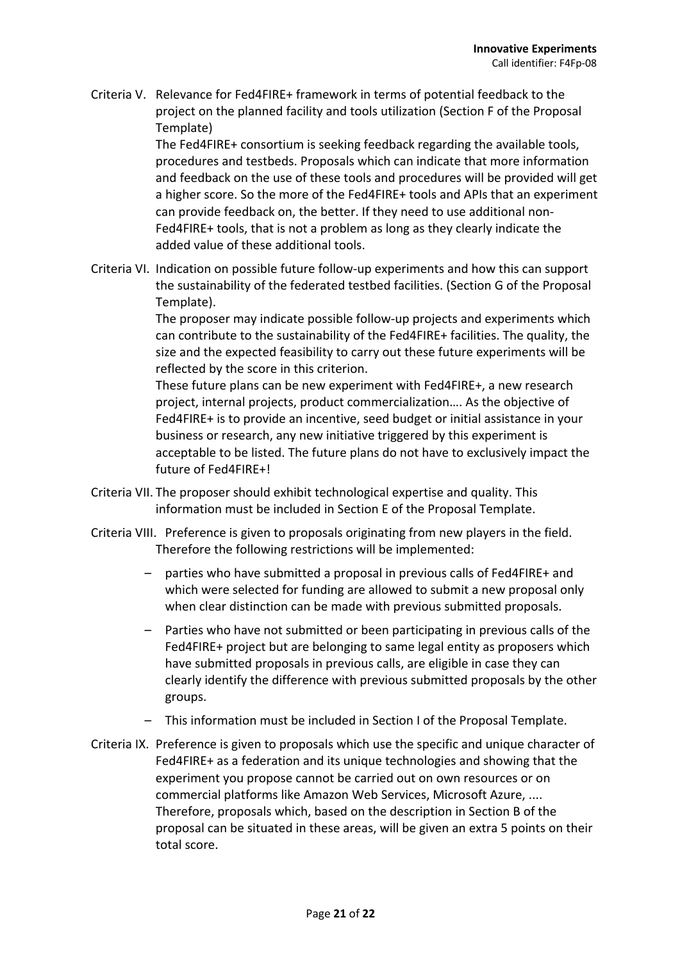Criteria V. Relevance for Fed4FIRE+ framework in terms of potential feedback to the project on the planned facility and tools utilization (Section F of the Proposal Template)

> The Fed4FIRE+ consortium is seeking feedback regarding the available tools, procedures and testbeds. Proposals which can indicate that more information and feedback on the use of these tools and procedures will be provided will get a higher score. So the more of the Fed4FIRE+ tools and APIs that an experiment can provide feedback on, the better. If they need to use additional non-Fed4FIRE+ tools, that is not a problem as long as they clearly indicate the added value of these additional tools.

Criteria VI. Indication on possible future follow-up experiments and how this can support the sustainability of the federated testbed facilities. (Section G of the Proposal Template).

> The proposer may indicate possible follow-up projects and experiments which can contribute to the sustainability of the Fed4FIRE+ facilities. The quality, the size and the expected feasibility to carry out these future experiments will be reflected by the score in this criterion.

> These future plans can be new experiment with Fed4FIRE+, a new research project, internal projects, product commercialization…. As the objective of Fed4FIRE+ is to provide an incentive, seed budget or initial assistance in your business or research, any new initiative triggered by this experiment is acceptable to be listed. The future plans do not have to exclusively impact the future of Fed4FIRE+!

- Criteria VII. The proposer should exhibit technological expertise and quality. This information must be included in Section E of the Proposal Template.
- Criteria VIII. Preference is given to proposals originating from new players in the field. Therefore the following restrictions will be implemented:
	- parties who have submitted a proposal in previous calls of Fed4FIRE+ and which were selected for funding are allowed to submit a new proposal only when clear distinction can be made with previous submitted proposals.
	- Parties who have not submitted or been participating in previous calls of the Fed4FIRE+ project but are belonging to same legal entity as proposers which have submitted proposals in previous calls, are eligible in case they can clearly identify the difference with previous submitted proposals by the other groups.
	- This information must be included in Section I of the Proposal Template.
- Criteria IX. Preference is given to proposals which use the specific and unique character of Fed4FIRE+ as a federation and its unique technologies and showing that the experiment you propose cannot be carried out on own resources or on commercial platforms like Amazon Web Services, Microsoft Azure, .... Therefore, proposals which, based on the description in Section B of the proposal can be situated in these areas, will be given an extra 5 points on their total score.